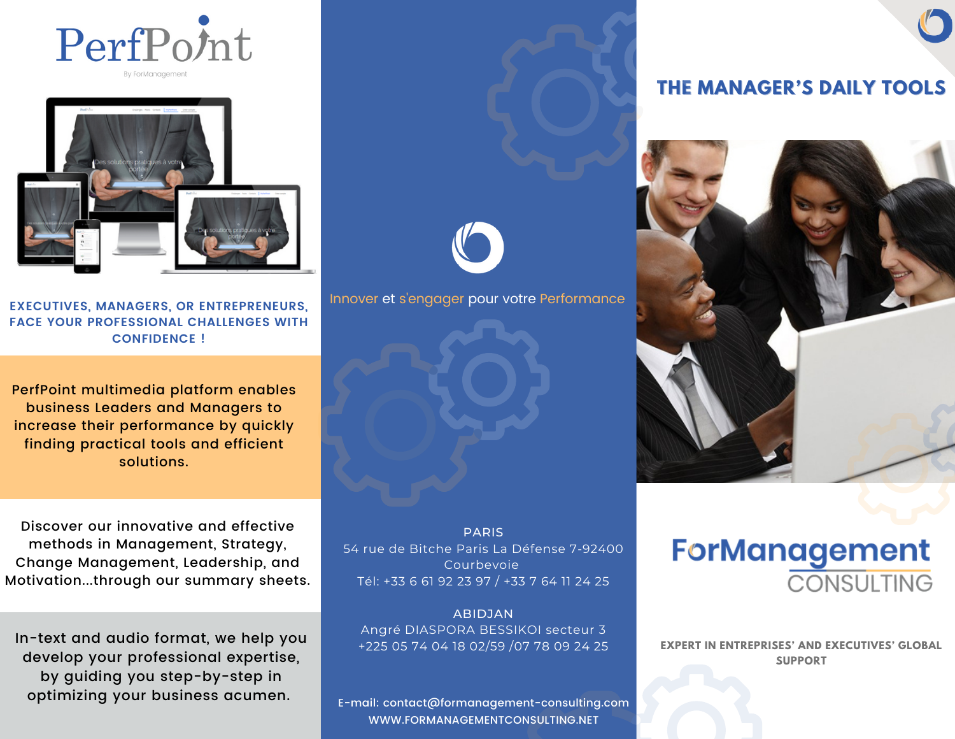



**EXECUTIVES, MANAGERS, OR ENTREPRENEURS, FACE YOUR PROFESSIONAL CHALLENGES WITH CONFIDENCE !**

PerfPoint multimedia platform enables business Leaders and Managers to increase their performance by quickly finding practical tools and efficient solutions.

Discover our innovative and effective methods in Management, Strategy, Change Management, Leadership, and Motivation...through our summary sheets.

In-text and audio format, we help you develop your professional expertise, by guiding you step-by-step in optimizing your business acumen.

PARIS 54 rue de Bitche Paris La Défense 7-92400 Courbevoie Tél: +33 6 61 92 23 97 / +33 7 64 11 24 25

ABIDJAN Angré DIASPORA BESSIKOI secteur 3 +225 05 74 04 18 02/59 /07 78 09 24 25

E-mail: contact@formanagement-consulting.com [WWW.FORMANAGEMENTCONSULTING.NET](http://www.formanagementconsulting.net/)

# **THE MANAGER'S DAILY TOOLS**



**ForManagement CONSULTING** 

**EXPERT IN ENTREPRISES' AND EXECUTIVES' GLOBAL SUPPORT**